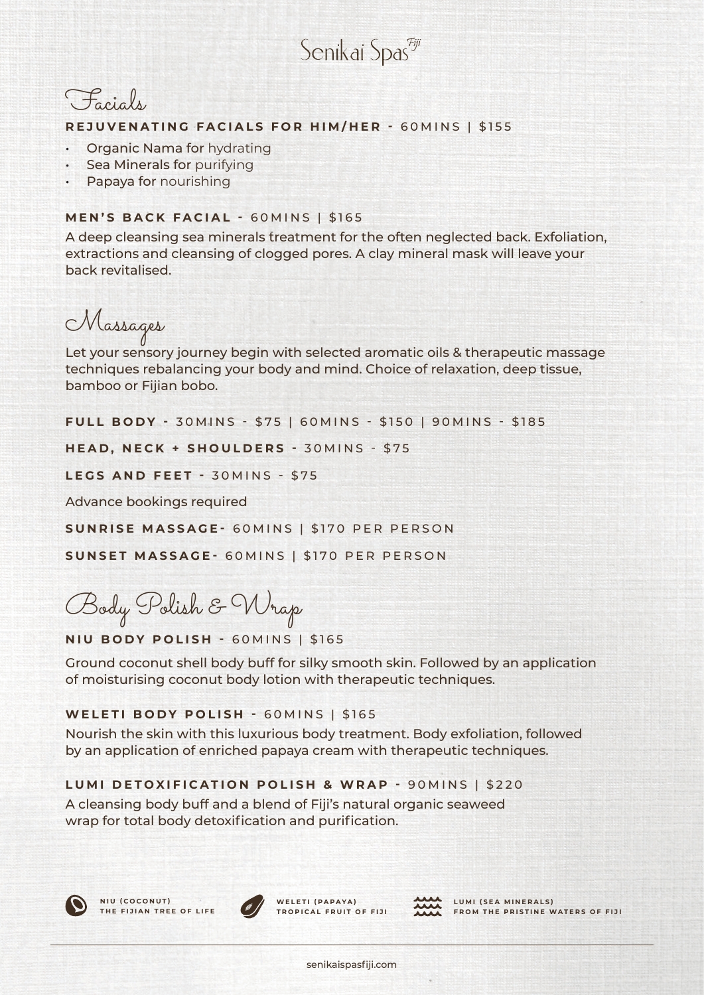Senikai Spas<sup>eji</sup>



#### **REJUVENATING FACIALS FOR HIM/HER -** 60MINS | \$155

- Organic Nama for hydrating
- **Sea Minerals for purifying**
- Papaya for nourishing

### **MEN'S BACK FACIAL -** 60MINS | \$165

A deep cleansing sea minerals treatment for the often neglected back. Exfoliation, extractions and cleansing of clogged pores. A clay mineral mask will leave your back revitalised.

Massages

Let your sensory journey begin with selected aromatic oils & therapeutic massage techniques rebalancing your body and mind. Choice of relaxation, deep tissue, bamboo or Fijian bobo.

**FULL BODY - 30 MINS - \$75 | 60 MINS - \$150 | 90 MINS - \$185** 

**HEAD, NECK + SHOULDERS - 30MINS - \$75** 

**LEGS AND FEET -** 30MINS - \$75

Advance bookings required

**SUNRISE MASSAGE-** 60MINS | \$170 PER PERSON

**SUNSET MASSAGE-** 60MINS | \$170 PER PERSON

Body Polish & Wrap

**NIU BODY POLISH -** 60MINS | \$165

Ground coconut shell body buff for silky smooth skin. Followed by an application of moisturising coconut body lotion with therapeutic techniques.

# **WELETI BODY POLISH -** 60MINS | \$165

Nourish the skin with this luxurious body treatment. Body exfoliation, followed by an application of enriched papaya cream with therapeutic techniques.

# **LUMI DETOXIFICATION POLISH & WRAP -** 90MINS | \$220

A cleansing body buff and a blend of Fiji's natural organic seaweed wrap for total body detoxification and purification.





WELETI (PAPAYA) **TROPICAL FRUIT OF FIJI**



LUMI (SEA MINERALS) **FROM THE PRISTINE WATERS OF FIJI**